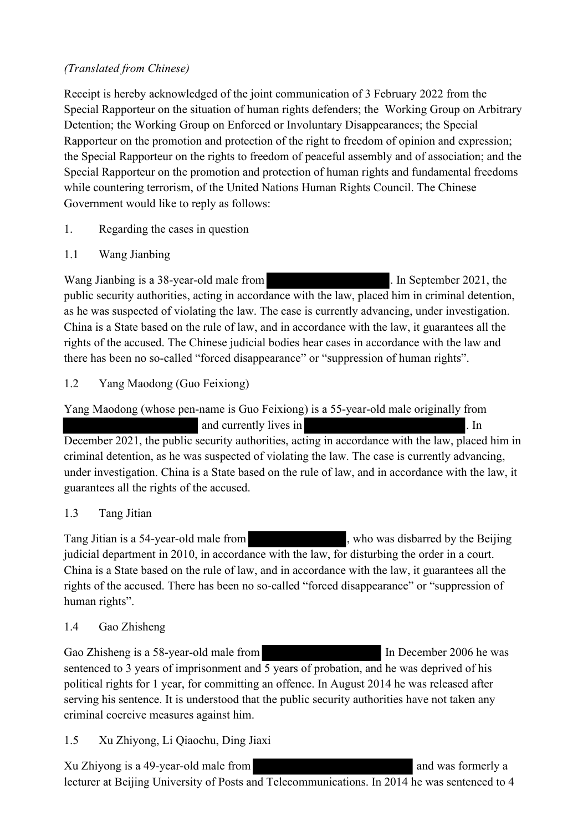### *(Translated from Chinese)*

Receipt is hereby acknowledged of the joint communication of 3 February 2022 from the Special Rapporteur on the situation of human rights defenders; the Working Group on Arbitrary Detention; the Working Group on Enforced or Involuntary Disappearances; the Special Rapporteur on the promotion and protection of the right to freedom of opinion and expression; the Special Rapporteur on the rights to freedom of peaceful assembly and of association; and the Special Rapporteur on the promotion and protection of human rights and fundamental freedoms while countering terrorism, of the United Nations Human Rights Council. The Chinese Government would like to reply as follows:

- 1. Regarding the cases in question
- 1.1 Wang Jianbing

Wang Jianbing is a 38-year-old male from . In September 2021, the public security authorities, acting in accordance with the law, placed him in criminal detention, as he was suspected of violating the law. The case is currently advancing, under investigation. China is a State based on the rule of law, and in accordance with the law, it guarantees all the rights of the accused. The Chinese judicial bodies hear cases in accordance with the law and there has been no so-called "forced disappearance" or "suppression of human rights".

## 1.2 Yang Maodong (Guo Feixiong)

Yang Maodong (whose pen-name is Guo Feixiong) is a 55-year-old male originally from

and currently lives in . In December 2021, the public security authorities, acting in accordance with the law, placed him in criminal detention, as he was suspected of violating the law. The case is currently advancing, under investigation. China is a State based on the rule of law, and in accordance with the law, it guarantees all the rights of the accused.

# 1.3 Tang Jitian

Tang Jitian is a 54-year-old male from , who was disbarred by the Beijing judicial department in 2010, in accordance with the law, for disturbing the order in a court. China is a State based on the rule of law, and in accordance with the law, it guarantees all the rights of the accused. There has been no so-called "forced disappearance" or "suppression of human rights".

# 1.4 Gao Zhisheng

Gao Zhisheng is a 58-year-old male from In December 2006 he was sentenced to 3 years of imprisonment and 5 years of probation, and he was deprived of his political rights for 1 year, for committing an offence. In August 2014 he was released after serving his sentence. It is understood that the public security authorities have not taken any criminal coercive measures against him.

1.5 Xu Zhiyong, Li Qiaochu, Ding Jiaxi

Xu Zhiyong is a 49-year-old male from and was formerly a structure and was formerly a lecturer at Beijing University of Posts and Telecommunications. In 2014 he was sentenced to 4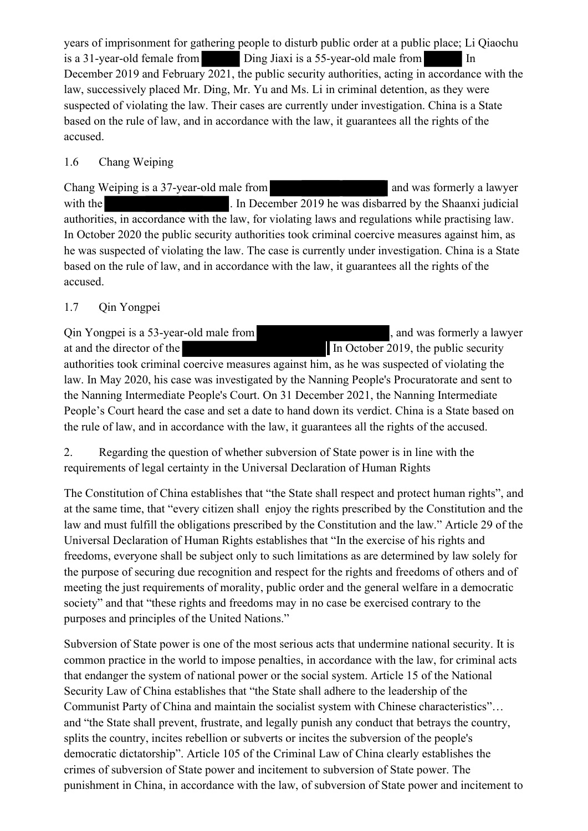years of imprisonment for gathering people to disturb public order at a public place; Li Qiaochu is a 31-year-old female from Ding Jiaxi is a 55-year-old male from In December 2019 and February 2021, the public security authorities, acting in accordance with the law, successively placed Mr. Ding, Mr. Yu and Ms. Li in criminal detention, as they were suspected of violating the law. Their cases are currently under investigation. China is a State based on the rule of law, and in accordance with the law, it guarantees all the rights of the accused.

### 1.6 Chang Weiping

Chang Weiping is a 37-year-old male from and was formerly a lawyer with the . In December 2019 he was disbarred by the Shaanxi judicial authorities, in accordance with the law, for violating laws and regulations while practising law. In October 2020 the public security authorities took criminal coercive measures against him, as he was suspected of violating the law. The case is currently under investigation. China is a State based on the rule of law, and in accordance with the law, it guarantees all the rights of the accused.

## 1.7 Qin Yongpei

Qin Yongpei is a 53-year-old male from solution of the same contract a lawyer at and the director of the ... In October 2019, the public security authorities took criminal coercive measures against him, as he was suspected of violating the law. In May 2020, his case was investigated by the Nanning People's Procuratorate and sent to the Nanning Intermediate People's Court. On 31 December 2021, the Nanning Intermediate People's Court heard the case and set a date to hand down its verdict. China is a State based on the rule of law, and in accordance with the law, it guarantees all the rights of the accused.

2. Regarding the question of whether subversion of State power is in line with the requirements of legal certainty in the Universal Declaration of Human Rights

The Constitution of China establishes that "the State shall respect and protect human rights", and at the same time, that "every citizen shall enjoy the rights prescribed by the Constitution and the law and must fulfill the obligations prescribed by the Constitution and the law." Article 29 of the Universal Declaration of Human Rights establishes that "In the exercise of his rights and freedoms, everyone shall be subject only to such limitations as are determined by law solely for the purpose of securing due recognition and respect for the rights and freedoms of others and of meeting the just requirements of morality, public order and the general welfare in a democratic society" and that "these rights and freedoms may in no case be exercised contrary to the purposes and principles of the United Nations."

Subversion of State power is one of the most serious acts that undermine national security. It is common practice in the world to impose penalties, in accordance with the law, for criminal acts that endanger the system of national power or the social system. Article 15 of the National Security Law of China establishes that "the State shall adhere to the leadership of the Communist Party of China and maintain the socialist system with Chinese characteristics"… and "the State shall prevent, frustrate, and legally punish any conduct that betrays the country, splits the country, incites rebellion or subverts or incites the subversion of the people's democratic dictatorship". Article 105 of the Criminal Law of China clearly establishes the crimes of subversion of State power and incitement to subversion of State power. The punishment in China, in accordance with the law, of subversion of State power and incitement to